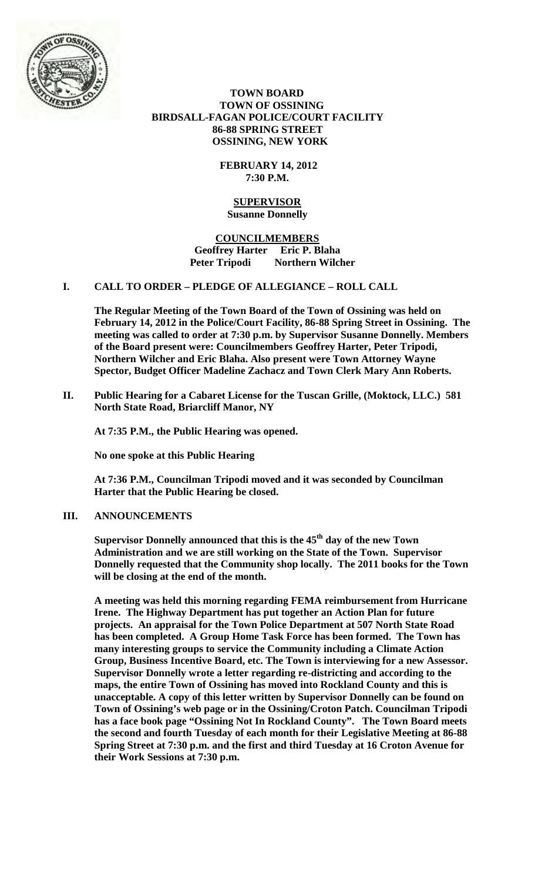

 **TOWN BOARD TOWN OF OSSINING BIRDSALL-FAGAN POLICE/COURT FACILITY 86-88 SPRING STREET OSSINING, NEW YORK**

> **FEBRUARY 14, 2012 7:30 P.M.**

#### **SUPERVISOR Susanne Donnelly**

**COUNCILMEMBERS Geoffrey Harter Eric P. Blaha**  Peter Tripodi Northern Wilcher

## **I. CALL TO ORDER – PLEDGE OF ALLEGIANCE – ROLL CALL**

**The Regular Meeting of the Town Board of the Town of Ossining was held on February 14, 2012 in the Police/Court Facility, 86-88 Spring Street in Ossining. The meeting was called to order at 7:30 p.m. by Supervisor Susanne Donnelly. Members of the Board present were: Councilmembers Geoffrey Harter, Peter Tripodi, Northern Wilcher and Eric Blaha. Also present were Town Attorney Wayne Spector, Budget Officer Madeline Zachacz and Town Clerk Mary Ann Roberts.**

**II. Public Hearing for a Cabaret License for the Tuscan Grille, (Moktock, LLC.) 581 North State Road, Briarcliff Manor, NY** 

**At 7:35 P.M., the Public Hearing was opened.**

**No one spoke at this Public Hearing**

**At 7:36 P.M., Councilman Tripodi moved and it was seconded by Councilman Harter that the Public Hearing be closed.**

# **III. ANNOUNCEMENTS**

**Supervisor Donnelly announced that this is the 45th day of the new Town Administration and we are still working on the State of the Town. Supervisor Donnelly requested that the Community shop locally. The 2011 books for the Town will be closing at the end of the month.** 

**A meeting was held this morning regarding FEMA reimbursement from Hurricane Irene. The Highway Department has put together an Action Plan for future projects. An appraisal for the Town Police Department at 507 North State Road has been completed. A Group Home Task Force has been formed. The Town has many interesting groups to service the Community including a Climate Action Group, Business Incentive Board, etc. The Town is interviewing for a new Assessor. Supervisor Donnelly wrote a letter regarding re-districting and according to the maps, the entire Town of Ossining has moved into Rockland County and this is unacceptable. A copy of this letter written by Supervisor Donnelly can be found on Town of Ossining's web page or in the Ossining/Croton Patch. Councilman Tripodi has a face book page "Ossining Not In Rockland County". The Town Board meets the second and fourth Tuesday of each month for their Legislative Meeting at 86-88 Spring Street at 7:30 p.m. and the first and third Tuesday at 16 Croton Avenue for their Work Sessions at 7:30 p.m.**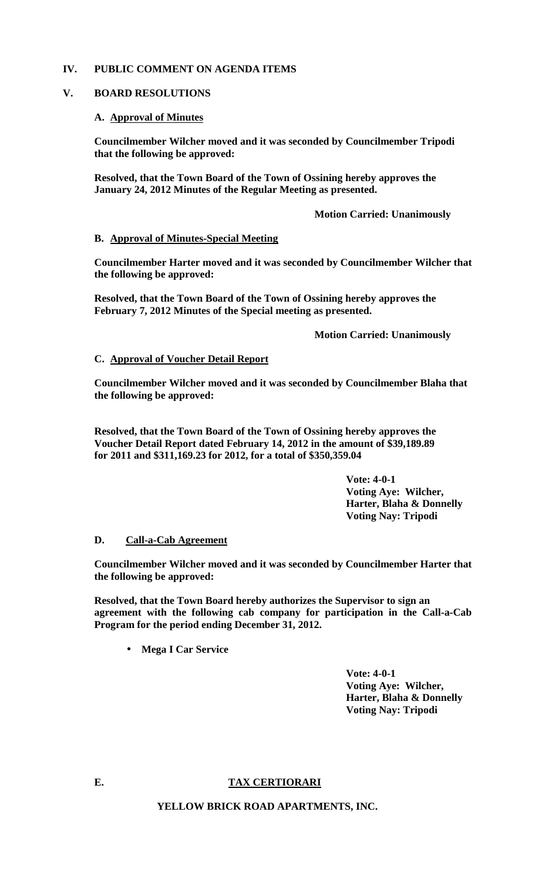## **IV. PUBLIC COMMENT ON AGENDA ITEMS**

## **V. BOARD RESOLUTIONS**

## **A. Approval of Minutes**

**Councilmember Wilcher moved and it was seconded by Councilmember Tripodi that the following be approved:** 

**Resolved, that the Town Board of the Town of Ossining hereby approves the January 24, 2012 Minutes of the Regular Meeting as presented.** 

 **Motion Carried: Unanimously** 

## **B. Approval of Minutes-Special Meeting**

**Councilmember Harter moved and it was seconded by Councilmember Wilcher that the following be approved:**

**Resolved, that the Town Board of the Town of Ossining hereby approves the February 7, 2012 Minutes of the Special meeting as presented.** 

 **Motion Carried: Unanimously**

## **C. Approval of Voucher Detail Report**

**Councilmember Wilcher moved and it was seconded by Councilmember Blaha that the following be approved:**

**Resolved, that the Town Board of the Town of Ossining hereby approves the Voucher Detail Report dated February 14, 2012 in the amount of \$39,189.89 for 2011 and \$311,169.23 for 2012, for a total of \$350,359.04** 

> **Vote: 4-0-1 Voting Aye: Wilcher, Harter, Blaha & Donnelly Voting Nay: Tripodi**

## **D. Call-a-Cab Agreement**

**Councilmember Wilcher moved and it was seconded by Councilmember Harter that the following be approved:**

**Resolved, that the Town Board hereby authorizes the Supervisor to sign an agreement with the following cab company for participation in the Call-a-Cab Program for the period ending December 31, 2012.** 

**Mega I Car Service**  $\mathbf{a}$  and

> **Vote: 4-0-1 Voting Aye: Wilcher, Harter, Blaha & Donnelly Voting Nay: Tripodi**

#### **E. TAX CERTIORARI**

**YELLOW BRICK ROAD APARTMENTS, INC.**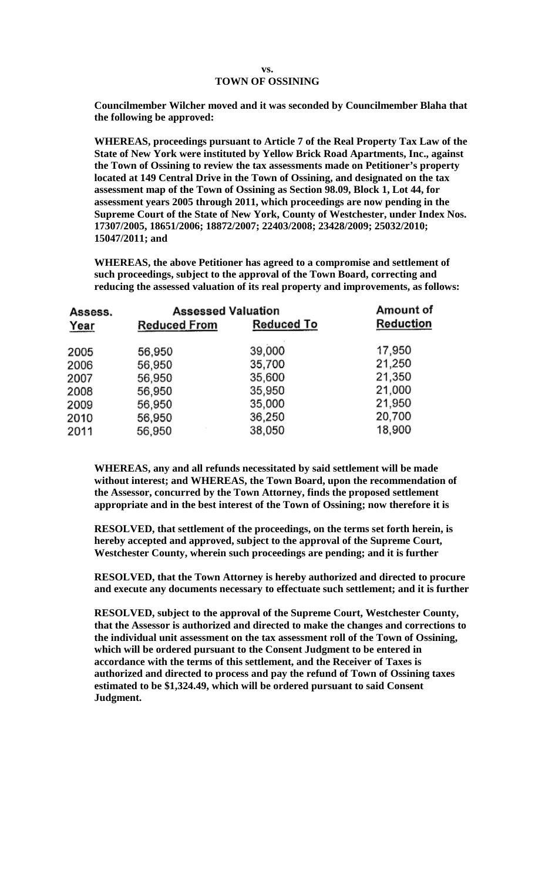#### **vs. TOWN OF OSSINING**

**Councilmember Wilcher moved and it was seconded by Councilmember Blaha that the following be approved:**

**WHEREAS, proceedings pursuant to Article 7 of the Real Property Tax Law of the State of New York were instituted by Yellow Brick Road Apartments, Inc., against the Town of Ossining to review the tax assessments made on Petitioner's property located at 149 Central Drive in the Town of Ossining, and designated on the tax assessment map of the Town of Ossining as Section 98.09, Block 1, Lot 44, for assessment years 2005 through 2011, which proceedings are now pending in the Supreme Court of the State of New York, County of Westchester, under Index Nos. 17307/2005, 18651/2006; 18872/2007; 22403/2008; 23428/2009; 25032/2010; 15047/2011; and** 

**WHEREAS, the above Petitioner has agreed to a compromise and settlement of such proceedings, subject to the approval of the Town Board, correcting and reducing the assessed valuation of its real property and improvements, as follows:** 

| Assess. | <b>Assessed Valuation</b> |                   | Amount of |  |  |
|---------|---------------------------|-------------------|-----------|--|--|
| Year    | <b>Reduced From</b>       | <b>Reduced To</b> | Reduction |  |  |
| 2005    | 56,950                    | 39,000            | 17,950    |  |  |
| 2006    | 56,950                    | 35,700            | 21,250    |  |  |
| 2007    | 56,950                    | 35,600            | 21,350    |  |  |
| 2008    | 56,950                    | 35,950            | 21,000    |  |  |
| 2009    | 56,950                    | 35,000            | 21,950    |  |  |
| 2010    | 56,950                    | 36,250            | 20,700    |  |  |
| 2011    | 56,950                    | 38,050            | 18,900    |  |  |
|         |                           |                   |           |  |  |

**WHEREAS, any and all refunds necessitated by said settlement will be made without interest; and WHEREAS, the Town Board, upon the recommendation of the Assessor, concurred by the Town Attorney, finds the proposed settlement appropriate and in the best interest of the Town of Ossining; now therefore it is** 

**RESOLVED, that settlement of the proceedings, on the terms set forth herein, is hereby accepted and approved, subject to the approval of the Supreme Court, Westchester County, wherein such proceedings are pending; and it is further** 

**RESOLVED, that the Town Attorney is hereby authorized and directed to procure and execute any documents necessary to effectuate such settlement; and it is further** 

**RESOLVED, subject to the approval of the Supreme Court, Westchester County, that the Assessor is authorized and directed to make the changes and corrections to the individual unit assessment on the tax assessment roll of the Town of Ossining, which will be ordered pursuant to the Consent Judgment to be entered in accordance with the terms of this settlement, and the Receiver of Taxes is authorized and directed to process and pay the refund of Town of Ossining taxes estimated to be \$1,324.49, which will be ordered pursuant to said Consent Judgment.**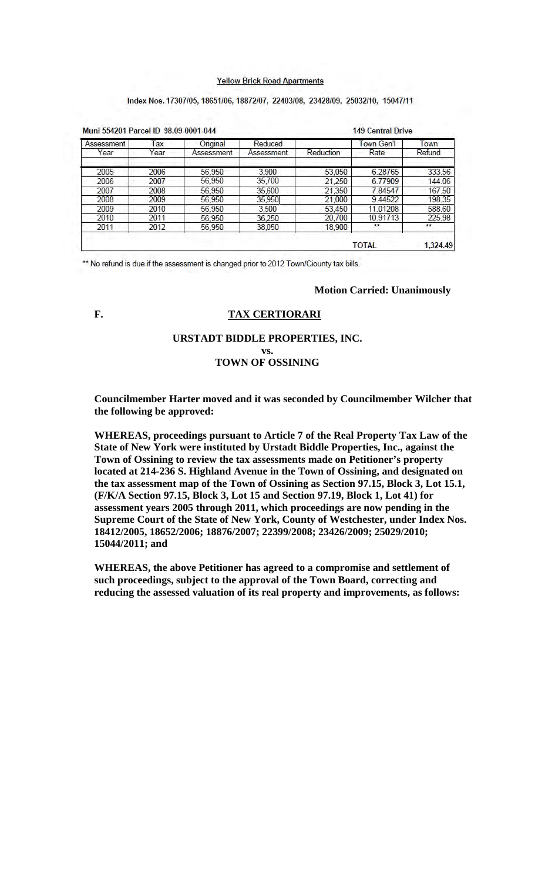#### **Yellow Brick Road Apartments**

#### Index Nos. 17307/05, 18651/06, 18872/07, 22403/08, 23428/09, 25032/10, 15047/11

| Muni 554201 Parcel ID 98.09-0001-044 |      |            |            | <b>149 Central Drive</b> |              |          |  |
|--------------------------------------|------|------------|------------|--------------------------|--------------|----------|--|
| Assessment                           | Tax  | Original   | Reduced    |                          | Town Gen't   | Town     |  |
| Year                                 | Year | Assessment | Assessment | Reduction                | Rate         | Refund   |  |
| 2005                                 | 2006 | 56,950     | 3.900      | 53,050                   | 6.28765      | 333.56   |  |
| 2006                                 | 2007 | 56,950     | 35,700     | 21.250                   | 6.77909      | 144.06   |  |
| 2007                                 | 2008 | 56,950     | 35,600     | 21,350                   | 7.84547      | 167.50   |  |
| 2008                                 | 2009 | 56,950     | 35,950     | 21,000                   | 9.44522      | 198.35   |  |
| 2009                                 | 2010 | 56.950     | 3,500      | 53,450                   | 11.01208     | 588.60   |  |
| 2010                                 | 2011 | 56.950     | 36,250     | 20,700                   | 10.91713     | 225.98   |  |
| 2011                                 | 2012 | 56,950     | 38,050     | 18,900                   | **           | **       |  |
|                                      |      |            |            |                          | <b>TOTAL</b> | 1,324.49 |  |

\*\* No refund is due if the assessment is changed prior to 2012 Town/Ciounty tax bills.

#### **Motion Carried: Unanimously**

# **F. TAX CERTIORARI**

#### **URSTADT BIDDLE PROPERTIES, INC. vs.**

# **TOWN OF OSSINING**

**Councilmember Harter moved and it was seconded by Councilmember Wilcher that the following be approved:**

**WHEREAS, proceedings pursuant to Article 7 of the Real Property Tax Law of the State of New York were instituted by Urstadt Biddle Properties, Inc., against the Town of Ossining to review the tax assessments made on Petitioner's property located at 214-236 S. Highland Avenue in the Town of Ossining, and designated on the tax assessment map of the Town of Ossining as Section 97.15, Block 3, Lot 15.1, (F/K/A Section 97.15, Block 3, Lot 15 and Section 97.19, Block 1, Lot 41) for assessment years 2005 through 2011, which proceedings are now pending in the Supreme Court of the State of New York, County of Westchester, under Index Nos. 18412/2005, 18652/2006; 18876/2007; 22399/2008; 23426/2009; 25029/2010; 15044/2011; and** 

**WHEREAS, the above Petitioner has agreed to a compromise and settlement of such proceedings, subject to the approval of the Town Board, correcting and reducing the assessed valuation of its real property and improvements, as follows:**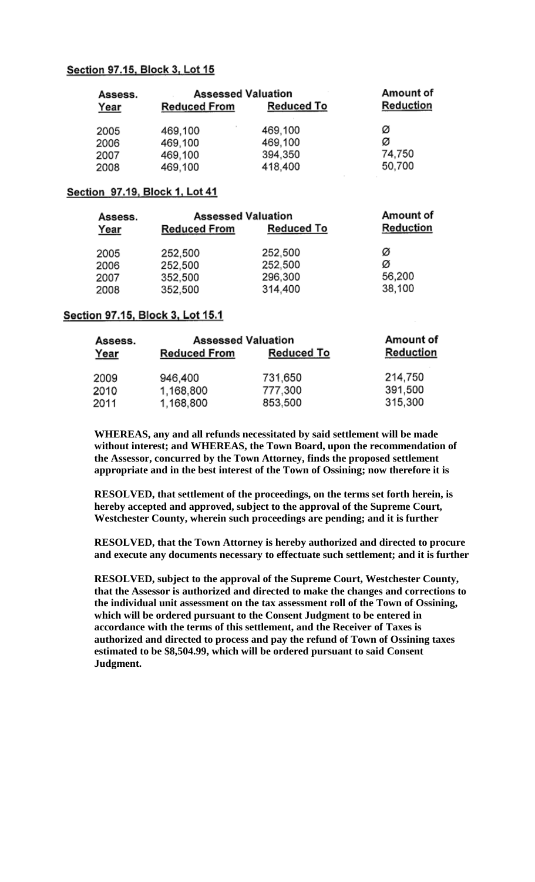## Section 97.15, Block 3, Lot 15

| Assess. | <b>Assessed Valuation</b> | Amount of         |           |  |
|---------|---------------------------|-------------------|-----------|--|
| Year    | <b>Reduced From</b>       | <b>Reduced To</b> | Reduction |  |
| 2005    | 469,100                   | 469,100           | Ø         |  |
| 2006    | 469,100                   | 469,100           | Ø         |  |
| 2007    | 469,100                   | 394,350           | 74,750    |  |
| 2008    | 469,100                   | 418,400           | 50,700    |  |

# Section 97.19, Block 1, Lot 41

| Assess. | <b>Assessed Valuation</b> | Amount of  |           |
|---------|---------------------------|------------|-----------|
| Year    | <b>Reduced From</b>       | Reduced To | Reduction |
| 2005    | 252,500                   | 252,500    | Ø         |
| 2006    | 252,500                   | 252,500    | Ø         |
| 2007    | 352,500                   | 296,300    | 56,200    |
| 2008    | 352,500                   | 314,400    | 38,100    |

## Section 97.15, Block 3, Lot 15.1

| Assess. | <b>Assessed Valuation</b> | Amount of         |                  |  |
|---------|---------------------------|-------------------|------------------|--|
| Year    | <b>Reduced From</b>       | <b>Reduced To</b> | <b>Reduction</b> |  |
| 2009    | 946,400                   | 731,650           | 214,750          |  |
| 2010    | 1,168,800                 | 777,300           | 391,500          |  |
| 2011    | 1,168,800                 | 853,500           | 315,300          |  |

**WHEREAS, any and all refunds necessitated by said settlement will be made without interest; and WHEREAS, the Town Board, upon the recommendation of the Assessor, concurred by the Town Attorney, finds the proposed settlement appropriate and in the best interest of the Town of Ossining; now therefore it is** 

**RESOLVED, that settlement of the proceedings, on the terms set forth herein, is hereby accepted and approved, subject to the approval of the Supreme Court, Westchester County, wherein such proceedings are pending; and it is further** 

**RESOLVED, that the Town Attorney is hereby authorized and directed to procure and execute any documents necessary to effectuate such settlement; and it is further** 

**RESOLVED, subject to the approval of the Supreme Court, Westchester County, that the Assessor is authorized and directed to make the changes and corrections to the individual unit assessment on the tax assessment roll of the Town of Ossining, which will be ordered pursuant to the Consent Judgment to be entered in accordance with the terms of this settlement, and the Receiver of Taxes is authorized and directed to process and pay the refund of Town of Ossining taxes estimated to be \$8,504.99, which will be ordered pursuant to said Consent Judgment.**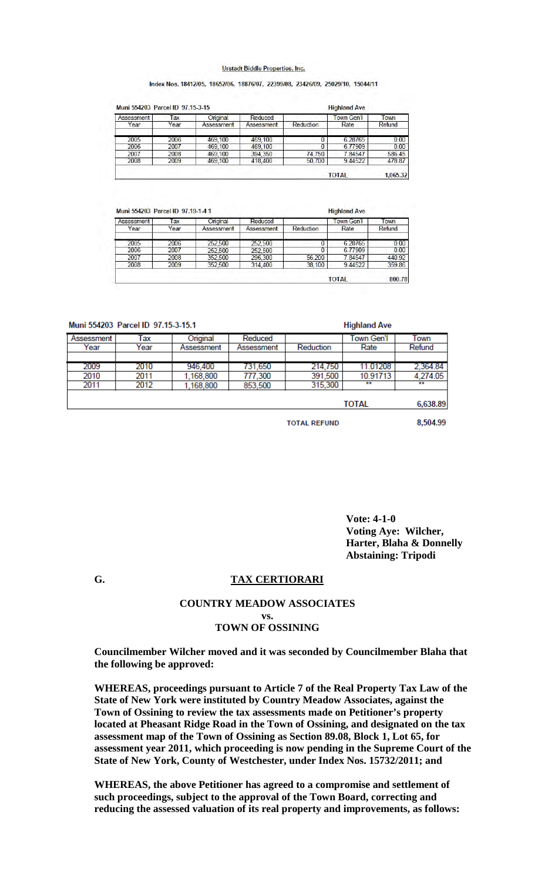#### Urstadt Biddle Properties, Inc.

#### Index Nos. 18412/05, 18652/06, 18876/07, 22399/08, 23426/09, 25029/10, 15044/11

| Reduction<br>Year<br>Year<br>Rate<br>Assessment<br>Assessment<br>2005<br>2006<br>6.28765<br>469,100<br>469.100 | Refund |
|----------------------------------------------------------------------------------------------------------------|--------|
|                                                                                                                |        |
|                                                                                                                | 0.00   |
| 2006<br>6.77909<br>2007<br>469.100<br>469.100                                                                  | 0.00   |
| 394,350<br>74,750<br>2008<br>7.84547<br>2007<br>469.100                                                        | 586.45 |
| 2008<br>2009<br>50.700<br>9.44522<br>469,100<br>418,400                                                        | 478.87 |

| Assessment | Tax  | Original   | Reduced    |           | Town Gen'l   | Town   |
|------------|------|------------|------------|-----------|--------------|--------|
| Year       | Year | Assessment | Assessment | Reduction | Rate         | Refund |
| 2005       | 2006 | 252,500    | 252,500    |           | 6.28765      | 0.00   |
| 2006       | 2007 | 252,500    | 252,500    | 0         | 6.77909      | 0.00   |
| 2007       | 2008 | 352,500    | 296,300    | 56,200    | 7.84547      | 440.92 |
| 2008       | 2009 | 352,500    | 314,400    | 38,100    | 9.44522      | 359.86 |
|            |      |            |            |           | <b>TOTAL</b> | 800.78 |

Muni 554203 Parcel ID 97.15-3-15.1

| MUILLO-4200 FOLCELID 31.10-0-10.1 |      |            |            |           | <b>Highland Ave</b> |          |
|-----------------------------------|------|------------|------------|-----------|---------------------|----------|
| Assessment                        | Tax  | Original   | Reduced    |           | Town Gen'l          | Town     |
| Year                              | Year | Assessment | Assessment | Reduction | Rate                | Refund   |
|                                   |      |            |            |           |                     |          |
| 2009                              | 2010 | 946,400    | 731,650    | 214,750   | 11.01208            | 2,364.84 |
| 2010                              | 2011 | 1.168.800  | 777,300    | 391,500   | 10.91713            | 4,274.05 |
| 2011                              | 2012 | 1,168,800  | 853,500    | 315,300   | **                  | **       |
|                                   |      |            |            |           |                     |          |
|                                   |      |            |            |           | <b>TOTAL</b>        | 6,638.89 |
|                                   |      |            |            |           |                     |          |

**TOTAL REFUND** 

**Highland Ave** 

8,504.99

**Vote: 4-1-0 Voting Aye: Wilcher, Harter, Blaha & Donnelly Abstaining: Tripodi**

#### **G. TAX CERTIORARI**

# **COUNTRY MEADOW ASSOCIATES vs. TOWN OF OSSINING**

**Councilmember Wilcher moved and it was seconded by Councilmember Blaha that the following be approved:**

**WHEREAS, proceedings pursuant to Article 7 of the Real Property Tax Law of the State of New York were instituted by Country Meadow Associates, against the Town of Ossining to review the tax assessments made on Petitioner's property located at Pheasant Ridge Road in the Town of Ossining, and designated on the tax assessment map of the Town of Ossining as Section 89.08, Block 1, Lot 65, for assessment year 2011, which proceeding is now pending in the Supreme Court of the State of New York, County of Westchester, under Index Nos. 15732/2011; and** 

**WHEREAS, the above Petitioner has agreed to a compromise and settlement of such proceedings, subject to the approval of the Town Board, correcting and reducing the assessed valuation of its real property and improvements, as follows:**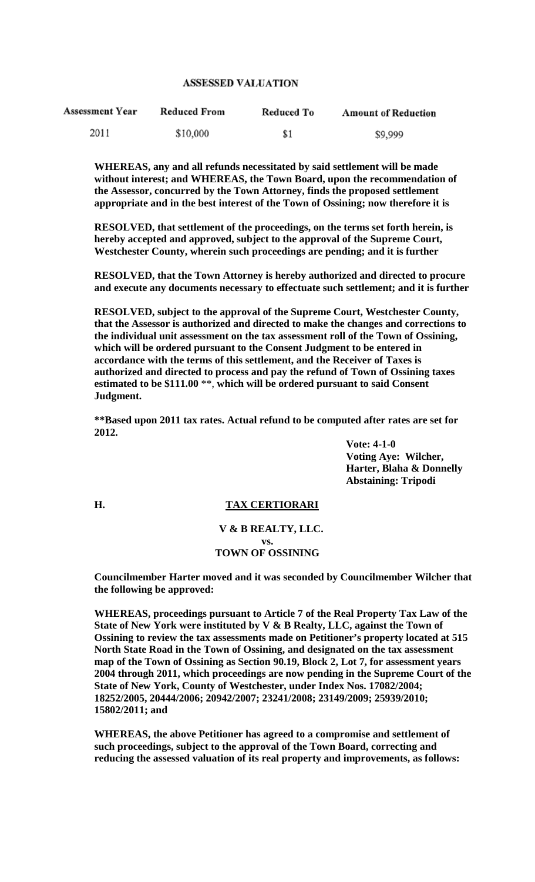### **ASSESSED VALUATION**

| <b>Assessment Year</b> | Reduced From | Reduced To | <b>Amount of Reduction</b> |
|------------------------|--------------|------------|----------------------------|
| 2011                   | \$10,000     | \$1        | \$9,999                    |

**WHEREAS, any and all refunds necessitated by said settlement will be made without interest; and WHEREAS, the Town Board, upon the recommendation of the Assessor, concurred by the Town Attorney, finds the proposed settlement appropriate and in the best interest of the Town of Ossining; now therefore it is** 

**RESOLVED, that settlement of the proceedings, on the terms set forth herein, is hereby accepted and approved, subject to the approval of the Supreme Court, Westchester County, wherein such proceedings are pending; and it is further** 

**RESOLVED, that the Town Attorney is hereby authorized and directed to procure and execute any documents necessary to effectuate such settlement; and it is further** 

**RESOLVED, subject to the approval of the Supreme Court, Westchester County, that the Assessor is authorized and directed to make the changes and corrections to the individual unit assessment on the tax assessment roll of the Town of Ossining, which will be ordered pursuant to the Consent Judgment to be entered in accordance with the terms of this settlement, and the Receiver of Taxes is authorized and directed to process and pay the refund of Town of Ossining taxes estimated to be \$111.00** \*\*, **which will be ordered pursuant to said Consent Judgment.**

**\*\*Based upon 2011 tax rates. Actual refund to be computed after rates are set for 2012.** 

> **Vote: 4-1-0 Voting Aye: Wilcher, Harter, Blaha & Donnelly Abstaining: Tripodi**

#### **H. TAX CERTIORARI**

### **V & B REALTY, LLC. vs. TOWN OF OSSINING**

**Councilmember Harter moved and it was seconded by Councilmember Wilcher that the following be approved:**

**WHEREAS, proceedings pursuant to Article 7 of the Real Property Tax Law of the State of New York were instituted by V & B Realty, LLC, against the Town of Ossining to review the tax assessments made on Petitioner's property located at 515 North State Road in the Town of Ossining, and designated on the tax assessment map of the Town of Ossining as Section 90.19, Block 2, Lot 7, for assessment years 2004 through 2011, which proceedings are now pending in the Supreme Court of the State of New York, County of Westchester, under Index Nos. 17082/2004; 18252/2005, 20444/2006; 20942/2007; 23241/2008; 23149/2009; 25939/2010; 15802/2011; and** 

**WHEREAS, the above Petitioner has agreed to a compromise and settlement of such proceedings, subject to the approval of the Town Board, correcting and reducing the assessed valuation of its real property and improvements, as follows:**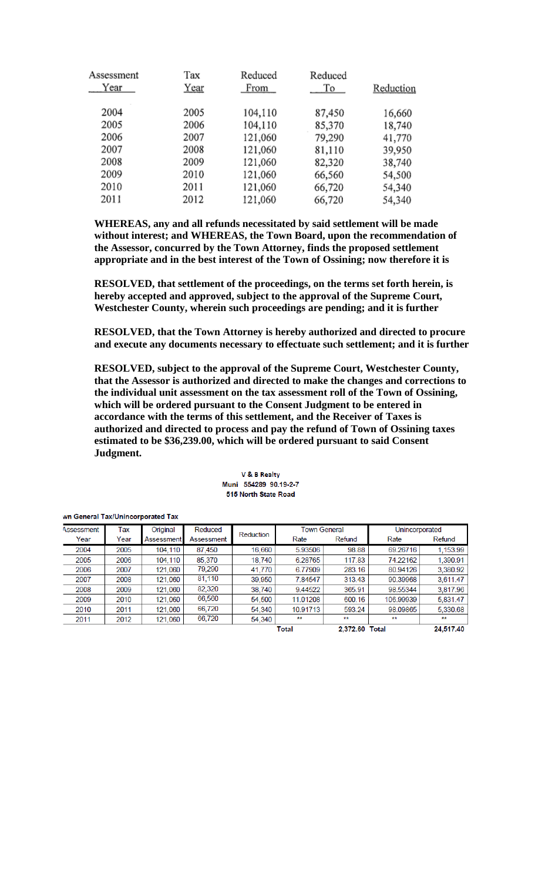| Assessment | Tax  | Reduced | Reduced |           |
|------------|------|---------|---------|-----------|
| Year       | Year | From    | To      | Reduction |
| 2004       | 2005 | 104,110 | 87,450  | 16,660    |
| 2005       | 2006 | 104,110 | 85,370  | 18,740    |
| 2006       | 2007 | 121,060 | 79,290  | 41,770    |
| 2007       | 2008 | 121,060 | 81,110  | 39,950    |
| 2008       | 2009 | 121,060 | 82,320  | 38,740    |
| 2009       | 2010 | 121,060 | 66,560  | 54,500    |
| 2010       | 2011 | 121,060 | 66,720  | 54,340    |
| 2011       | 2012 | 121,060 | 66,720  | 54,340    |

**WHEREAS, any and all refunds necessitated by said settlement will be made without interest; and WHEREAS, the Town Board, upon the recommendation of the Assessor, concurred by the Town Attorney, finds the proposed settlement appropriate and in the best interest of the Town of Ossining; now therefore it is** 

**RESOLVED, that settlement of the proceedings, on the terms set forth herein, is hereby accepted and approved, subject to the approval of the Supreme Court, Westchester County, wherein such proceedings are pending; and it is further** 

**RESOLVED, that the Town Attorney is hereby authorized and directed to procure and execute any documents necessary to effectuate such settlement; and it is further** 

**RESOLVED, subject to the approval of the Supreme Court, Westchester County, that the Assessor is authorized and directed to make the changes and corrections to the individual unit assessment on the tax assessment roll of the Town of Ossining, which will be ordered pursuant to the Consent Judgment to be entered in accordance with the terms of this settlement, and the Receiver of Taxes is authorized and directed to process and pay the refund of Town of Ossining taxes estimated to be \$36,239.00, which will be ordered pursuant to said Consent Judgment.**

| Assessment | Tax  | Original          | Reduced    |           | <b>Town General</b> |                | Unincorporated |           |
|------------|------|-------------------|------------|-----------|---------------------|----------------|----------------|-----------|
| Year       | Year | <b>Assessment</b> | Assessment | Reduction | Rate                | Refund         | Rate           | Refund    |
| 2004       | 2005 | 104,110           | 87,450     | 16,660    | 5.93506             | 98.88          | 69.26716       | 1,153.99  |
| 2005       | 2006 | 104,110           | 85,370     | 18,740    | 6.28765             | 117.83         | 74.22162       | 1,390.91  |
| 2006       | 2007 | 121,060           | 79,290     | 41,770    | 6.77909             | 283.16         | 80.94126       | 3,380.92  |
| 2007       | 2008 | 121,060           | 81,110     | 39,950    | 7.84547             | 313.43         | 90.39968       | 3,611.47  |
| 2008       | 2009 | 121,060           | 82,320     | 38,740    | 9.44522             | 365.91         | 98.55344       | 3,817.96  |
| 2009       | 2010 | 121,060           | 66,560     | 54,500    | 11.01208            | 600.16         | 106.99939      | 5,831.47  |
| 2010       | 2011 | 121,060           | 66.720     | 54,340    | 10.91713            | 593.24         | 98.09865       | 5,330.68  |
| 2011       | 2012 | 121,060           | 66,720     | 54,340    | **                  | **             | **             | **        |
|            |      |                   |            |           | <b>Total</b>        | 2.372.60 Total |                | 24.517.40 |

V & B Realty Muni 554289 90 19-2-7 515 North State Road

#### wn General Tax/Unincorporated Tax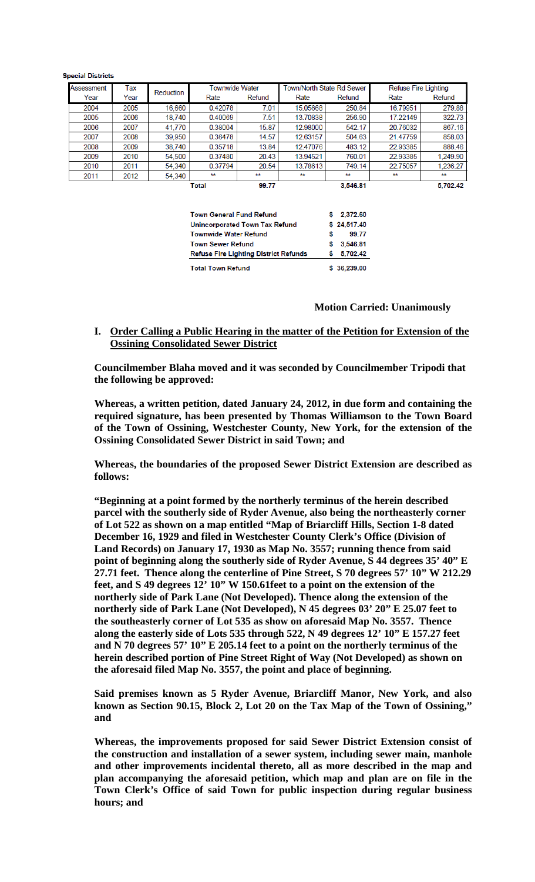| 2011       | 2012 | 54,340    | Total                 | 99.77  |                           | 3.546.81     |                             | 5.702.42 |
|------------|------|-----------|-----------------------|--------|---------------------------|--------------|-----------------------------|----------|
|            |      | 54,340    | **                    | **     | **                        | 749.14<br>** | **                          | **       |
| 2010       | 2011 |           | 0.37794               | 20.54  | 13.78613                  |              | 22.75057                    | 1.236.27 |
| 2009       | 2010 | 54,500    | 0.37480               | 20.43  | 13.94521                  | 760.01       | 22.93385                    | 1.249.90 |
| 2008       | 2009 | 38,740    | 0.35718               | 13.84  | 12.47076                  | 483.12       | 22.93385                    | 888.46   |
| 2007       | 2008 | 39,950    | 0.36478               | 14.57  | 12.63157                  | 504.63       | 21.47759                    | 858.03   |
| 2006       | 2007 | 41,770    | 0.38004               | 15.87  | 12.98000                  | 542.17       | 20.76032                    | 867.16   |
| 2005       | 2006 | 18,740    | 0.40069               | 7.51   | 13.70838                  | 256.90       | 17.22149                    | 322.73   |
| 2004       | 2005 | 16,660    | 0.42078               | 7.01   | 15.05668                  | 250.84       | 16.79951                    | 279.88   |
| Year       | Year |           | Rate                  | Refund | Rate                      | Refund       | Rate                        | Refund   |
| Assessment | Tax  | Reduction | <b>Townwide Water</b> |        | Town/North State Rd Sewer |              | <b>Refuse Fire Lighting</b> |          |

**Special Districts** 

| <b>Total Town Refund</b>                     |   | \$36.239.00 |
|----------------------------------------------|---|-------------|
| <b>Refuse Fire Lighting District Refunds</b> |   | 5.702.42    |
| <b>Town Sewer Refund</b>                     | s | 3.546.81    |
| <b>Townwide Water Refund</b>                 | s | 99.77       |
| <b>Unincorporated Town Tax Refund</b>        |   | \$24,517.40 |
| <b>Town General Fund Refund</b>              |   | \$2,372.60  |

#### **Motion Carried: Unanimously**

**I. Order Calling a Public Hearing in the matter of the Petition for Extension of the Ossining Consolidated Sewer District** 

**Councilmember Blaha moved and it was seconded by Councilmember Tripodi that the following be approved:**

**Whereas, a written petition, dated January 24, 2012, in due form and containing the required signature, has been presented by Thomas Williamson to the Town Board of the Town of Ossining, Westchester County, New York, for the extension of the Ossining Consolidated Sewer District in said Town; and** 

**Whereas, the boundaries of the proposed Sewer District Extension are described as follows:**

**"Beginning at a point formed by the northerly terminus of the herein described parcel with the southerly side of Ryder Avenue, also being the northeasterly corner of Lot 522 as shown on a map entitled "Map of Briarcliff Hills, Section 1-8 dated December 16, 1929 and filed in Westchester County Clerk's Office (Division of Land Records) on January 17, 1930 as Map No. 3557; running thence from said point of beginning along the southerly side of Ryder Avenue, S 44 degrees 35' 40" E 27.71 feet. Thence along the centerline of Pine Street, S 70 degrees 57' 10" W 212.29 feet, and S 49 degrees 12' 10" W 150.61feet to a point on the extension of the northerly side of Park Lane (Not Developed). Thence along the extension of the northerly side of Park Lane (Not Developed), N 45 degrees 03' 20" E 25.07 feet to the southeasterly corner of Lot 535 as show on aforesaid Map No. 3557. Thence along the easterly side of Lots 535 through 522, N 49 degrees 12' 10" E 157.27 feet and N 70 degrees 57' 10" E 205.14 feet to a point on the northerly terminus of the herein described portion of Pine Street Right of Way (Not Developed) as shown on the aforesaid filed Map No. 3557, the point and place of beginning.** 

**Said premises known as 5 Ryder Avenue, Briarcliff Manor, New York, and also known as Section 90.15, Block 2, Lot 20 on the Tax Map of the Town of Ossining," and** 

**Whereas, the improvements proposed for said Sewer District Extension consist of the construction and installation of a sewer system, including sewer main, manhole and other improvements incidental thereto, all as more described in the map and plan accompanying the aforesaid petition, which map and plan are on file in the Town Clerk's Office of said Town for public inspection during regular business hours; and**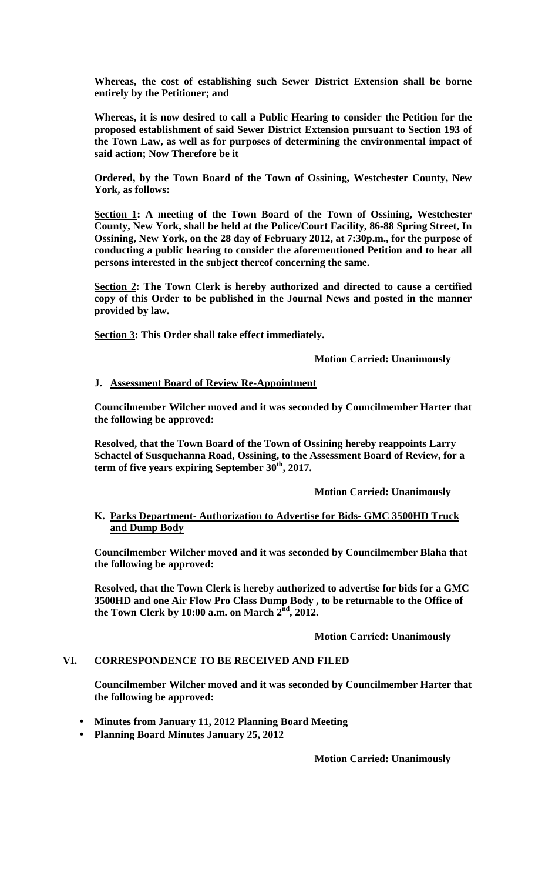**Whereas, the cost of establishing such Sewer District Extension shall be borne entirely by the Petitioner; and**

**Whereas, it is now desired to call a Public Hearing to consider the Petition for the proposed establishment of said Sewer District Extension pursuant to Section 193 of the Town Law, as well as for purposes of determining the environmental impact of said action; Now Therefore be it**

**Ordered, by the Town Board of the Town of Ossining, Westchester County, New York, as follows:** 

**Section 1: A meeting of the Town Board of the Town of Ossining, Westchester County, New York, shall be held at the Police/Court Facility, 86-88 Spring Street, In Ossining, New York, on the 28 day of February 2012, at 7:30p.m., for the purpose of conducting a public hearing to consider the aforementioned Petition and to hear all persons interested in the subject thereof concerning the same.**

**Section 2: The Town Clerk is hereby authorized and directed to cause a certified copy of this Order to be published in the Journal News and posted in the manner provided by law.**

**Section 3: This Order shall take effect immediately.**

 **Motion Carried: Unanimously** 

## **J. Assessment Board of Review Re-Appointment**

**Councilmember Wilcher moved and it was seconded by Councilmember Harter that the following be approved:**

**Resolved, that the Town Board of the Town of Ossining hereby reappoints Larry Schactel of Susquehanna Road, Ossining, to the Assessment Board of Review, for a**  term of five years expiring September 30<sup>th</sup>, 2017.

 **Motion Carried: Unanimously** 

## **K. Parks Department- Authorization to Advertise for Bids- GMC 3500HD Truck and Dump Body**

**Councilmember Wilcher moved and it was seconded by Councilmember Blaha that the following be approved:**

**Resolved, that the Town Clerk is hereby authorized to advertise for bids for a GMC 3500HD and one Air Flow Pro Class Dump Body , to be returnable to the Office of the Town Clerk by 10:00 a.m. on March 2nd, 2012.** 

## **Motion Carried: Unanimously**

## **VI. CORRESPONDENCE TO BE RECEIVED AND FILED**

**Councilmember Wilcher moved and it was seconded by Councilmember Harter that the following be approved:**

**Minutes from January 11, 2012 Planning Board Meeting Planning Board Minutes January 25, 2012** 

**Motion Carried: Unanimously**